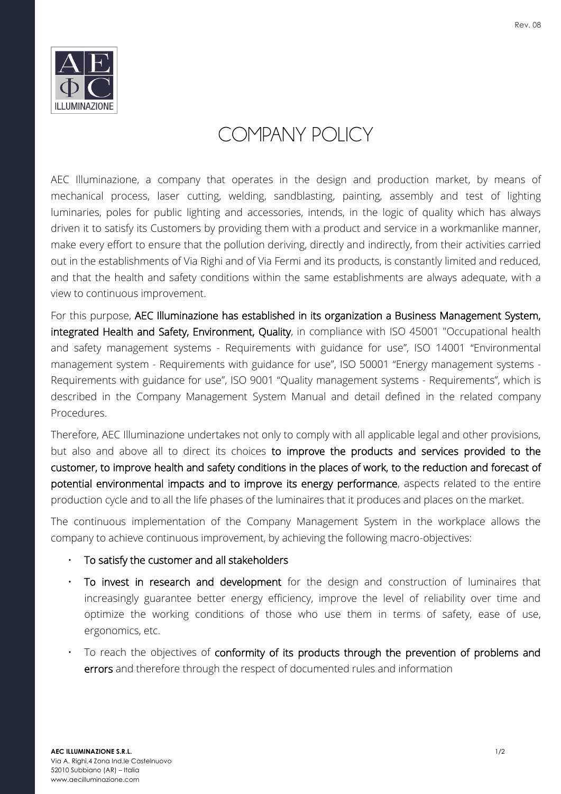

## COMPANY POLICY

AEC Illuminazione, a company that operates in the design and production market, by means of mechanical process, laser cutting, welding, sandblasting, painting, assembly and test of lighting luminaries, poles for public lighting and accessories, intends, in the logic of quality which has always driven it to satisfy its Customers by providing them with a product and service in a workmanlike manner, make every effort to ensure that the pollution deriving, directly and indirectly, from their activities carried out in the establishments of Via Righi and of Via Fermi and its products, is constantly limited and reduced, and that the health and safety conditions within the same establishments are always adequate, with a view to continuous improvement.

For this purpose, AEC Illuminazione has established in its organization a Business Management System, integrated Health and Safety, Environment, Quality, in compliance with ISO 45001 "Occupational health and safety management systems - Requirements with guidance for use", ISO 14001 "Environmental management system - Requirements with guidance for use", ISO 50001 "Energy management systems - Requirements with guidance for use", ISO 9001 "Quality management systems - Requirements", which is described in the Company Management System Manual and detail defined in the related company Procedures.

Therefore, AEC Illuminazione undertakes not only to comply with all applicable legal and other provisions, but also and above all to direct its choices to improve the products and services provided to the customer, to improve health and safety conditions in the places of work, to the reduction and forecast of potential environmental impacts and to improve its energy performance, aspects related to the entire production cycle and to all the life phases of the luminaires that it produces and places on the market.

The continuous implementation of the Company Management System in the workplace allows the company to achieve continuous improvement, by achieving the following macro-objectives:

- To satisfy the customer and all stakeholders
- To invest in research and development for the design and construction of luminaires that increasingly guarantee better energy efficiency, improve the level of reliability over time and optimize the working conditions of those who use them in terms of safety, ease of use, ergonomics, etc.
- To reach the objectives of conformity of its products through the prevention of problems and errors and therefore through the respect of documented rules and information